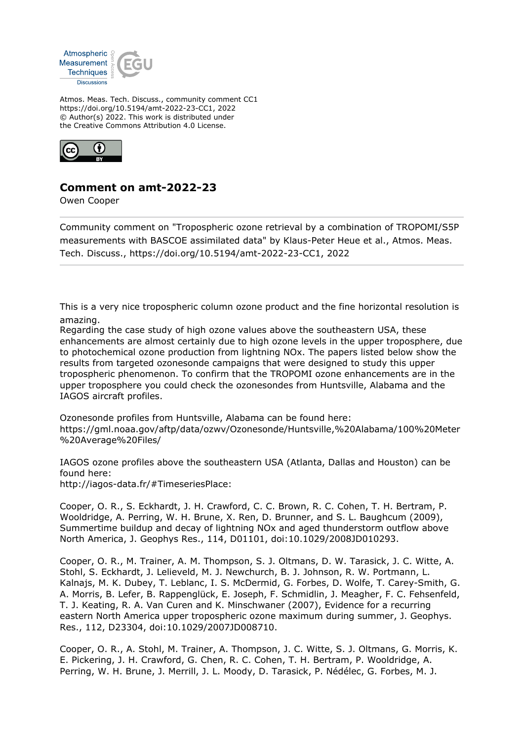

Atmos. Meas. Tech. Discuss., community comment CC1 https://doi.org/10.5194/amt-2022-23-CC1, 2022 © Author(s) 2022. This work is distributed under the Creative Commons Attribution 4.0 License.



## **Comment on amt-2022-23**

Owen Cooper

Community comment on "Tropospheric ozone retrieval by a combination of TROPOMI/S5P measurements with BASCOE assimilated data" by Klaus-Peter Heue et al., Atmos. Meas. Tech. Discuss., https://doi.org/10.5194/amt-2022-23-CC1, 2022

This is a very nice tropospheric column ozone product and the fine horizontal resolution is amazing.

Regarding the case study of high ozone values above the southeastern USA, these enhancements are almost certainly due to high ozone levels in the upper troposphere, due to photochemical ozone production from lightning NOx. The papers listed below show the results from targeted ozonesonde campaigns that were designed to study this upper tropospheric phenomenon. To confirm that the TROPOMI ozone enhancements are in the upper troposphere you could check the ozonesondes from Huntsville, Alabama and the IAGOS aircraft profiles.

Ozonesonde profiles from Huntsville, Alabama can be found here: https://gml.noaa.gov/aftp/data/ozwv/Ozonesonde/Huntsville,%20Alabama/100%20Meter %20Average%20Files/

IAGOS ozone profiles above the southeastern USA (Atlanta, Dallas and Houston) can be found here:

http://iagos-data.fr/#TimeseriesPlace:

Cooper, O. R., S. Eckhardt, J. H. Crawford, C. C. Brown, R. C. Cohen, T. H. Bertram, P. Wooldridge, A. Perring, W. H. Brune, X. Ren, D. Brunner, and S. L. Baughcum (2009), Summertime buildup and decay of lightning NOx and aged thunderstorm outflow above North America, J. Geophys Res., 114, D01101, doi:10.1029/2008JD010293.

Cooper, O. R., M. Trainer, A. M. Thompson, S. J. Oltmans, D. W. Tarasick, J. C. Witte, A. Stohl, S. Eckhardt, J. Lelieveld, M. J. Newchurch, B. J. Johnson, R. W. Portmann, L. Kalnajs, M. K. Dubey, T. Leblanc, I. S. McDermid, G. Forbes, D. Wolfe, T. Carey-Smith, G. A. Morris, B. Lefer, B. Rappenglück, E. Joseph, F. Schmidlin, J. Meagher, F. C. Fehsenfeld, T. J. Keating, R. A. Van Curen and K. Minschwaner (2007), Evidence for a recurring eastern North America upper tropospheric ozone maximum during summer, J. Geophys. Res., 112, D23304, doi:10.1029/2007JD008710.

Cooper, O. R., A. Stohl, M. Trainer, A. Thompson, J. C. Witte, S. J. Oltmans, G. Morris, K. E. Pickering, J. H. Crawford, G. Chen, R. C. Cohen, T. H. Bertram, P. Wooldridge, A. Perring, W. H. Brune, J. Merrill, J. L. Moody, D. Tarasick, P. Nédélec, G. Forbes, M. J.